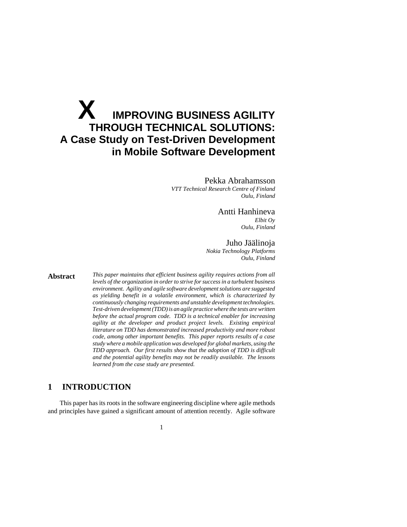# **X IMPROVING BUSINESS AGILITY THROUGH TECHNICAL SOLUTIONS: A Case Study on Test-Driven Development in Mobile Software Development**

Pekka Abrahamsson *VTT Technical Research Centre of Finland Oulu, Finland*

> Antti Hanhineva *Elbit Oy Oulu, Finland*

Juho Jäälinoja *Nokia Technology Platforms Oulu, Finland*

**Abstract** *This paper maintains that efficient business agility requires actions from all levels of the organization in order to strive for success in a turbulent business environment. Agility and agile software development solutions are suggested as yielding benefit in a volatile environment, which is characterized by continuously changing requirements and unstable development technologies. Test-driven development (TDD) is an agile practice where the tests are written before the actual program code. TDD is a technical enabler for increasing agility at the developer and product project levels. Existing empirical literature on TDD has demonstrated increased productivity and more robust code, among other important benefits. This paper reports results of a case study where a mobile application was developed for global markets, using the TDD approach. Our first results show that the adoption of TDD is difficult and the potential agility benefits may not be readily available. The lessons learned from the case study are presented.*

# **1 INTRODUCTION**

This paper has its roots in the software engineering discipline where agile methods and principles have gained a significant amount of attention recently. Agile software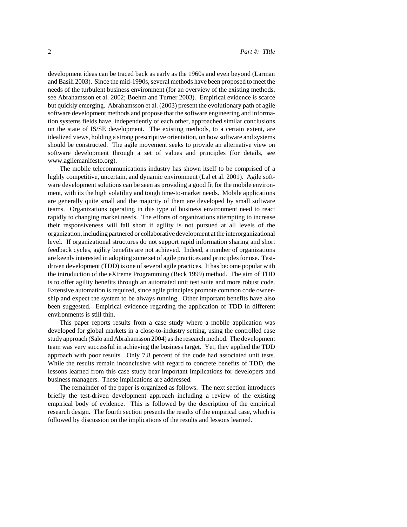development ideas can be traced back as early as the 1960s and even beyond (Larman and Basili 2003). Since the mid-1990s, several methods have been proposed to meet the needs of the turbulent business environment (for an overview of the existing methods, see Abrahamsson et al. 2002; Boehm and Turner 2003). Empirical evidence is scarce but quickly emerging. Abrahamsson et al. (2003) present the evolutionary path of agile software development methods and propose that the software engineering and information systems fields have, independently of each other, approached similar conclusions on the state of IS/SE development. The existing methods, to a certain extent, are idealized views, holding a strong prescriptive orientation, on how software and systems should be constructed. The agile movement seeks to provide an alternative view on software development through a set of values and principles (for details, see www.agilemanifesto.org).

The mobile telecommunications industry has shown itself to be comprised of a highly competitive, uncertain, and dynamic environment (Lal et al. 2001). Agile software development solutions can be seen as providing a good fit for the mobile environment, with its the high volatility and tough time-to-market needs. Mobile applications are generally quite small and the majority of them are developed by small software teams. Organizations operating in this type of business environment need to react rapidly to changing market needs. The efforts of organizations attempting to increase their responsiveness will fall short if agility is not pursued at all levels of the organization, including partnered or collaborative development at the interorganizational level. If organizational structures do not support rapid information sharing and short feedback cycles, agility benefits are not achieved. Indeed, a number of organizations are keenly interested in adopting some set of agile practices and principles for use. Testdriven development (TDD) is one of several agile practices. It has become popular with the introduction of the eXtreme Programming (Beck 1999) method. The aim of TDD is to offer agility benefits through an automated unit test suite and more robust code. Extensive automation is required, since agile principles promote common code ownership and expect the system to be always running. Other important benefits have also been suggested. Empirical evidence regarding the application of TDD in different environments is still thin.

This paper reports results from a case study where a mobile application was developed for global markets in a close-to-industry setting, using the controlled case study approach (Salo and Abrahamsson 2004) as the research method. The development team was very successful in achieving the business target. Yet, they applied the TDD approach with poor results. Only 7.8 percent of the code had associated unit tests. While the results remain inconclusive with regard to concrete benefits of TDD, the lessons learned from this case study bear important implications for developers and business managers. These implications are addressed.

The remainder of the paper is organized as follows. The next section introduces briefly the test-driven development approach including a review of the existing empirical body of evidence. This is followed by the description of the empirical research design. The fourth section presents the results of the empirical case, which is followed by discussion on the implications of the results and lessons learned.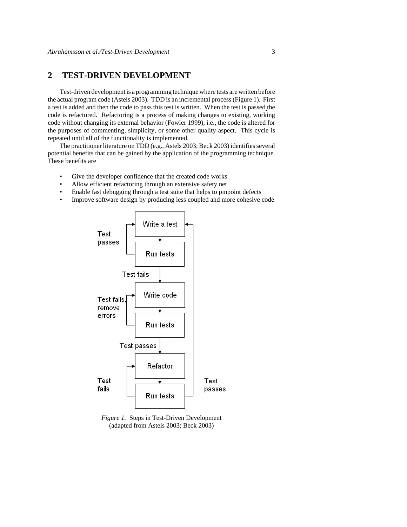# **2 TEST-DRIVEN DEVELOPMENT**

Test-driven development is a programming technique where tests are written before the actual program code (Astels 2003). TDD is an incremental process (Figure 1). First a test is added and then the code to pass this test is written. When the test is passed the code is refactored. Refactoring is a process of making changes to existing, working code without changing its external behavior (Fowler 1999), i.e., the code is altered for the purposes of commenting, simplicity, or some other quality aspect. This cycle is repeated until all of the functionality is implemented.

The practitioner literature on TDD (e.g., Astels 2003; Beck 2003) identifies several potential benefits that can be gained by the application of the programming technique. These benefits are

- Give the developer confidence that the created code works
- Allow efficient refactoring through an extensive safety net
- Enable fast debugging through a test suite that helps to pinpoint defects
- Improve software design by producing less coupled and more cohesive code



*Figure 1.* Steps in Test-Driven Development (adapted from Astels 2003; Beck 2003)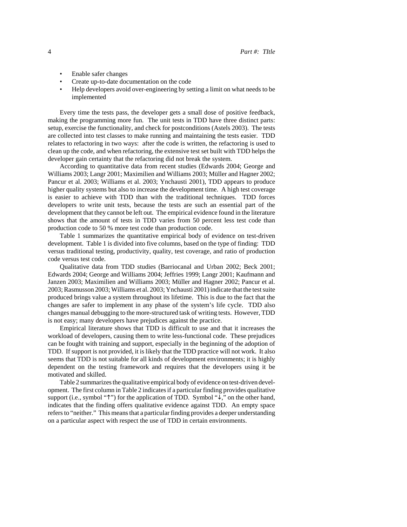- Enable safer changes
- Create up-to-date documentation on the code
- Help developers avoid over-engineering by setting a limit on what needs to be implemented

Every time the tests pass, the developer gets a small dose of positive feedback, making the programming more fun. The unit tests in TDD have three distinct parts: setup, exercise the functionality, and check for postconditions (Astels 2003). The tests are collected into test classes to make running and maintaining the tests easier. TDD relates to refactoring in two ways: after the code is written, the refactoring is used to clean up the code, and when refactoring, the extensive test set built with TDD helps the developer gain certainty that the refactoring did not break the system.

According to quantitative data from recent studies (Edwards 2004; George and Williams 2003; Langr 2001; Maximilien and Williams 2003; Müller and Hagner 2002; Pancur et al. 2003; Williams et al. 2003; Ynchausti 2001), TDD appears to produce higher quality systems but also to increase the development time. A high test coverage is easier to achieve with TDD than with the traditional techniques. TDD forces developers to write unit tests, because the tests are such an essential part of the development that they cannot be left out. The empirical evidence found in the literature shows that the amount of tests in TDD varies from 50 percent less test code than production code to 50 % more test code than production code.

Table 1 summarizes the quantitative empirical body of evidence on test-driven development. Table 1 is divided into five columns, based on the type of finding: TDD versus traditional testing, productivity, quality, test coverage, and ratio of production code versus test code.

Qualitative data from TDD studies (Barriocanal and Urban 2002; Beck 2001; Edwards 2004; George and Williams 2004; Jeffries 1999; Langr 2001; Kaufmann and Janzen 2003; Maximilien and Williams 2003; Müller and Hagner 2002; Pancur et al. 2003; Rasmusson 2003; Williams et al. 2003; Ynchausti 2001) indicate that the test suite produced brings value a system throughout its lifetime. This is due to the fact that the changes are safer to implement in any phase of the system's life cycle. TDD also changes manual debugging to the more-structured task of writing tests. However, TDD is not easy; many developers have prejudices against the practice.

Empirical literature shows that TDD is difficult to use and that it increases the workload of developers, causing them to write less-functional code. These prejudices can be fought with training and support, especially in the beginning of the adoption of TDD. If support is not provided, it is likely that the TDD practice will not work. It also seems that TDD is not suitable for all kinds of development environments; it is highly dependent on the testing framework and requires that the developers using it be motivated and skilled.

Table 2 summarizes the qualitative empirical body of evidence on test-driven development. The first column in Table 2 indicates if a particular finding provides qualitative support (i.e., symbol " $\uparrow$ ") for the application of TDD. Symbol " $\downarrow$ ," on the other hand, indicates that the finding offers qualitative evidence against TDD. An empty space refers to "neither." This means that a particular finding provides a deeper understanding on a particular aspect with respect the use of TDD in certain environments.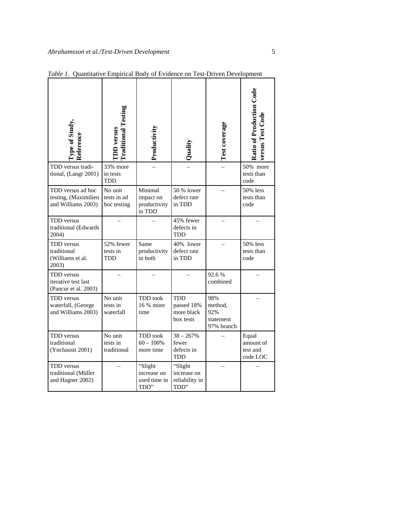| Type of Study,<br>Reference                                      | <b>Iraditional Testing</b><br><b>IDD</b> versus | Productivity                                   | Quality                                           | Test coverage                                    | Ratio of Production Code<br>versus Test Code |
|------------------------------------------------------------------|-------------------------------------------------|------------------------------------------------|---------------------------------------------------|--------------------------------------------------|----------------------------------------------|
| TDD versus tradi-<br>tional, (Langr 2001)                        | 33% more<br>in tests<br>TDD                     |                                                |                                                   |                                                  | 50% more<br>tests than<br>code               |
| TDD versus ad hoc<br>testing, (Maximilien<br>and Williams 2003)  | No unit<br>tests in ad<br>hoc testing           | Minimal<br>impact on<br>productivity<br>in TDD | 50 % lower<br>defect rate<br>in TDD               |                                                  | 50% less<br>tests than<br>code               |
| <b>TDD</b> versus<br>traditional (Edwards<br>2004)               |                                                 |                                                | 45% fewer<br>defects in<br>TDD                    |                                                  |                                              |
| <b>TDD</b> versus<br>traditional<br>(Williams et al.<br>2003)    | 52% fewer<br>tests in<br>TDD                    | Same<br>productivity<br>in both                | 40% lower<br>defect rate<br>in TDD                |                                                  | 50% less<br>tests than<br>code               |
| <b>TDD</b> versus<br>iterative test last<br>(Pancur et al. 2003) |                                                 |                                                |                                                   | 92.6%<br>combined                                |                                              |
| TDD versus<br>waterfall, (George<br>and Williams 2003)           | No unit<br>tests in<br>waterfall                | <b>TDD</b> took<br>16 % more<br>time           | TDD<br>passed 18%<br>more black<br>box tests      | 98%<br>method.<br>92%<br>statement<br>97% branch |                                              |
| <b>TDD</b> versus<br>traditional<br>(Ynchausti 2001)             | No unit<br>tests in<br>traditional              | <b>TDD</b> took<br>$60 - 100\%$<br>more time   | $38 - 267%$<br>fewer<br>defects in<br>TDD         |                                                  | Equal<br>amount of<br>test and<br>code LOC   |
| <b>TDD</b> versus<br>traditional (Müller<br>and Hagner 2002)     |                                                 | "Slight<br>increase on<br>used time in<br>TDD" | "Slight"<br>increase on<br>reliability in<br>TDD" |                                                  |                                              |

*Table 1.* Quantitative Empirical Body of Evidence on Test-Driven Development

h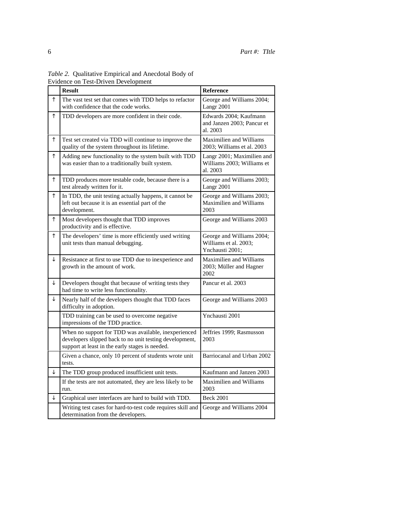|   | <b>Result</b>                                                                                                                                                      | Reference                                                             |  |
|---|--------------------------------------------------------------------------------------------------------------------------------------------------------------------|-----------------------------------------------------------------------|--|
| ↑ | The vast test set that comes with TDD helps to refactor<br>with confidence that the code works.                                                                    | George and Williams 2004;<br>Langr 2001                               |  |
| ↑ | TDD developers are more confident in their code.                                                                                                                   | Edwards 2004; Kaufmann<br>and Janzen 2003; Pancur et<br>al. 2003      |  |
| ↑ | Test set created via TDD will continue to improve the<br>quality of the system throughout its lifetime.                                                            | Maximilien and Williams<br>2003; Williams et al. 2003                 |  |
| ↑ | Adding new functionality to the system built with TDD<br>was easier than to a traditionally built system.                                                          | Langr 2001; Maximilien and<br>Williams 2003; Williams et<br>al. 2003  |  |
| ↑ | TDD produces more testable code, because there is a<br>test already written for it.                                                                                | George and Williams 2003;<br>Langr 2001                               |  |
| ↑ | In TDD, the unit testing actually happens, it cannot be<br>left out because it is an essential part of the<br>development.                                         | George and Williams 2003;<br>Maximilien and Williams<br>2003          |  |
| ↑ | Most developers thought that TDD improves<br>productivity and is effective.                                                                                        | George and Williams 2003                                              |  |
| ↑ | The developers' time is more efficiently used writing<br>unit tests than manual debugging.                                                                         | George and Williams 2004;<br>Williams et al. 2003;<br>Ynchausti 2001; |  |
| ↓ | Resistance at first to use TDD due to inexperience and<br>growth in the amount of work.                                                                            | Maximilien and Williams<br>2003; Müller and Hagner<br>2002            |  |
| ↓ | Developers thought that because of writing tests they<br>had time to write less functionality.                                                                     | Pancur et al. 2003                                                    |  |
| ↓ | Nearly half of the developers thought that TDD faces<br>difficulty in adoption.                                                                                    | George and Williams 2003                                              |  |
|   | TDD training can be used to overcome negative<br>impressions of the TDD practice.                                                                                  | Ynchausti 2001                                                        |  |
|   | When no support for TDD was available, inexperienced<br>developers slipped back to no unit testing development,<br>support at least in the early stages is needed. | Jeffries 1999; Rasmusson<br>2003                                      |  |
|   | Given a chance, only 10 percent of students wrote unit<br>tests.                                                                                                   | Barriocanal and Urban 2002                                            |  |
| ↓ | The TDD group produced insufficient unit tests.                                                                                                                    | Kaufmann and Janzen 2003                                              |  |
|   | If the tests are not automated, they are less likely to be<br>run.                                                                                                 | Maximilien and Williams<br>2003                                       |  |
| ↓ | Graphical user interfaces are hard to build with TDD.                                                                                                              | <b>Beck 2001</b>                                                      |  |
|   | Writing test cases for hard-to-test code requires skill and<br>determination from the developers.                                                                  | George and Williams 2004                                              |  |

*Table 2.* Qualitative Empirical and Anecdotal Body of Evidence on Test-Driven Development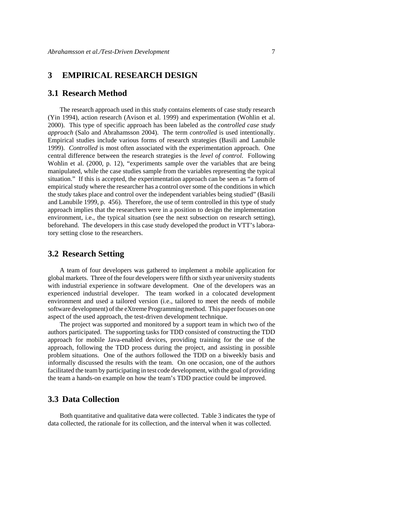# **3 EMPIRICAL RESEARCH DESIGN**

### **3.1 Research Method**

The research approach used in this study contains elements of case study research (Yin 1994), action research (Avison et al. 1999) and experimentation (Wohlin et al. 2000). This type of specific approach has been labeled as the *controlled case study approach* (Salo and Abrahamsson 2004). The term *controlled* is used intentionally. Empirical studies include various forms of research strategies (Basili and Lanubile 1999). *Controlled* is most often associated with the experimentation approach. One central difference between the research strategies is the *level of control*. Following Wohlin et al. (2000, p. 12), "experiments sample over the variables that are being manipulated, while the case studies sample from the variables representing the typical situation." If this is accepted, the experimentation approach can be seen as "a form of empirical study where the researcher has a control over some of the conditions in which the study takes place and control over the independent variables being studied" (Basili and Lanubile 1999, p. 456). Therefore, the use of term controlled in this type of study approach implies that the researchers were in a position to design the implementation environment, i.e., the typical situation (see the next subsection on research setting), beforehand. The developers in this case study developed the product in VTT's laboratory setting close to the researchers.

### **3.2 Research Setting**

A team of four developers was gathered to implement a mobile application for global markets. Three of the four developers were fifth or sixth year university students with industrial experience in software development. One of the developers was an experienced industrial developer. The team worked in a colocated development environment and used a tailored version (i.e., tailored to meet the needs of mobile software development) of the eXtreme Programming method. This paper focuses on one aspect of the used approach, the test-driven development technique.

The project was supported and monitored by a support team in which two of the authors participated. The supporting tasks for TDD consisted of constructing the TDD approach for mobile Java-enabled devices, providing training for the use of the approach, following the TDD process during the project, and assisting in possible problem situations. One of the authors followed the TDD on a biweekly basis and informally discussed the results with the team. On one occasion, one of the authors facilitated the team by participating in test code development, with the goal of providing the team a hands-on example on how the team's TDD practice could be improved.

# **3.3 Data Collection**

Both quantitative and qualitative data were collected. Table 3 indicates the type of data collected, the rationale for its collection, and the interval when it was collected.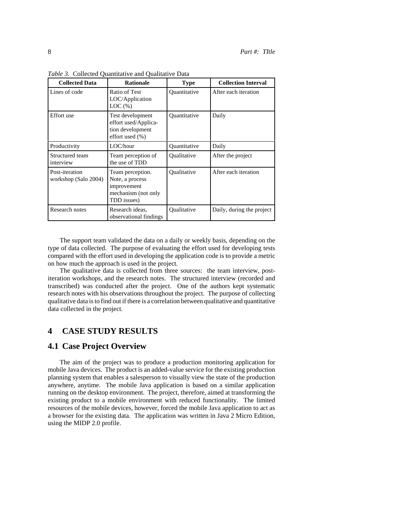| <b>Collected Data</b>                                                                                                              | <b>Rationale</b>                           | <b>Type</b>  | <b>Collection Interval</b> |  |
|------------------------------------------------------------------------------------------------------------------------------------|--------------------------------------------|--------------|----------------------------|--|
| Lines of code                                                                                                                      | Ratio of Test<br>LOC/Application<br>LOC(%) |              | After each iteration       |  |
| Effort use<br>Test development<br>effort used/Applica-<br>tion development<br>effort used (%)                                      |                                            | Ouantitative | Daily                      |  |
| Productivity                                                                                                                       | LOC/hour                                   | Ouantitative | Daily                      |  |
| Structured team<br>interview                                                                                                       | Team perception of<br>the use of TDD       | Qualitative  | After the project          |  |
| Post-iteration<br>Team perception.<br>workshop (Salo 2004)<br>Note, a process<br>improvement<br>mechanism (not only<br>TDD issues) |                                            | Qualitative  | After each iteration       |  |
| Research notes<br>Research ideas,<br>observational findings                                                                        |                                            | Qualitative  | Daily, during the project  |  |

*Table 3.* Collected Quantitative and Qualitative Data

The support team validated the data on a daily or weekly basis, depending on the type of data collected. The purpose of evaluating the effort used for developing tests compared with the effort used in developing the application code is to provide a metric on how much the approach is used in the project.

The qualitative data is collected from three sources: the team interview, postiteration workshops, and the research notes. The structured interview (recorded and transcribed) was conducted after the project. One of the authors kept systematic research notes with his observations throughout the project. The purpose of collecting qualitative data is to find out if there is a correlation between qualitative and quantitative data collected in the project.

# **4 CASE STUDY RESULTS**

## **4.1 Case Project Overview**

The aim of the project was to produce a production monitoring application for mobile Java devices. The product is an added-value service for the existing production planning system that enables a salesperson to visually view the state of the production anywhere, anytime. The mobile Java application is based on a similar application running on the desktop environment. The project, therefore, aimed at transforming the existing product to a mobile environment with reduced functionality. The limited resources of the mobile devices, however, forced the mobile Java application to act as a browser for the existing data. The application was written in Java 2 Micro Edition, using the MIDP 2.0 profile.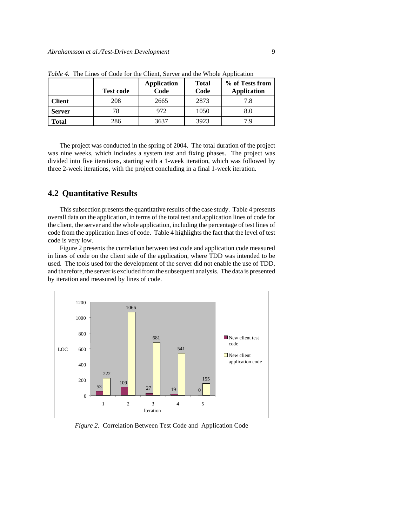|               | <b>Test code</b> | <b>Application</b><br>Code | <b>Total</b><br>Code | % of Tests from<br>Application |
|---------------|------------------|----------------------------|----------------------|--------------------------------|
| <b>Client</b> | 208              | 2665                       | 2873                 | 7.8                            |
| <b>Server</b> | 78               | 972                        | 1050                 | 8.0                            |
| Total         | 286              | 3637                       | 3923                 | 7 Q                            |

*Table 4.* The Lines of Code for the Client, Server and the Whole Application

The project was conducted in the spring of 2004. The total duration of the project was nine weeks, which includes a system test and fixing phases. The project was divided into five iterations, starting with a 1-week iteration, which was followed by three 2-week iterations, with the project concluding in a final 1-week iteration.

# **4.2 Quantitative Results**

This subsection presents the quantitative results of the case study. Table 4 presents overall data on the application, in terms of the total test and application lines of code for the client, the server and the whole application, including the percentage of test lines of code from the application lines of code. Table 4 highlights the fact that the level of test code is very low.

Figure 2 presents the correlation between test code and application code measured in lines of code on the client side of the application, where TDD was intended to be used. The tools used for the development of the server did not enable the use of TDD, and therefore, the server is excluded from the subsequent analysis. The data is presented by iteration and measured by lines of code.



*Figure 2*. Correlation Between Test Code and Application Code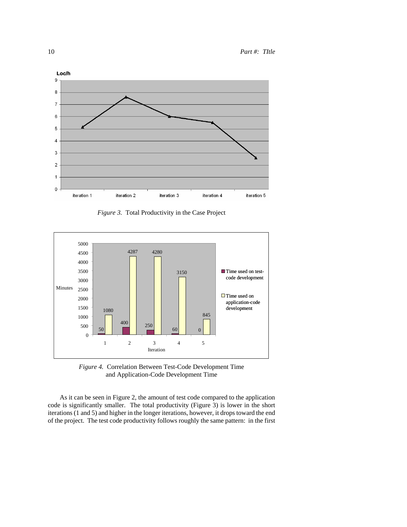

*Figure 3.* Total Productivity in the Case Project



*Figure 4.* Correlation Between Test-Code Development Time and Application-Code Development Time

As it can be seen in Figure 2, the amount of test code compared to the application code is significantly smaller. The total productivity (Figure 3) is lower in the short iterations (1 and 5) and higher in the longer iterations, however, it drops toward the end of the project. The test code productivity follows roughly the same pattern: in the first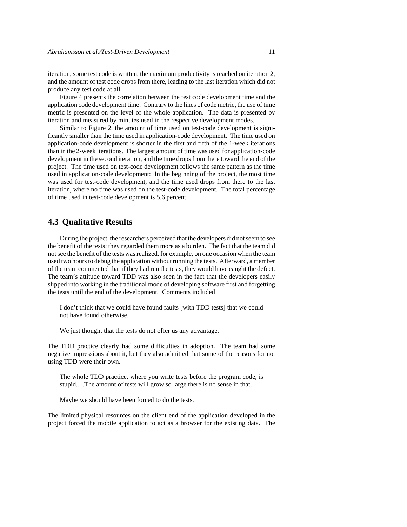iteration, some test code is written, the maximum productivity is reached on iteration 2, and the amount of test code drops from there, leading to the last iteration which did not produce any test code at all.

Figure 4 presents the correlation between the test code development time and the application code development time. Contrary to the lines of code metric, the use of time metric is presented on the level of the whole application. The data is presented by iteration and measured by minutes used in the respective development modes.

Similar to Figure 2, the amount of time used on test-code development is significantly smaller than the time used in application-code development. The time used on application-code development is shorter in the first and fifth of the 1-week iterations than in the 2-week iterations. The largest amount of time was used for application-code development in the second iteration, and the time drops from there toward the end of the project. The time used on test-code development follows the same pattern as the time used in application-code development: In the beginning of the project, the most time was used for test-code development, and the time used drops from there to the last iteration, where no time was used on the test-code development. The total percentage of time used in test-code development is 5.6 percent.

## **4.3 Qualitative Results**

During the project, the researchers perceived that the developers did not seem to see the benefit of the tests; they regarded them more as a burden. The fact that the team did not see the benefit of the tests was realized, for example, on one occasion when the team used two hours to debug the application without running the tests. Afterward, a member of the team commented that if they had run the tests, they would have caught the defect. The team's attitude toward TDD was also seen in the fact that the developers easily slipped into working in the traditional mode of developing software first and forgetting the tests until the end of the development. Comments included

I don't think that we could have found faults [with TDD tests] that we could not have found otherwise.

We just thought that the tests do not offer us any advantage.

The TDD practice clearly had some difficulties in adoption. The team had some negative impressions about it, but they also admitted that some of the reasons for not using TDD were their own.

The whole TDD practice, where you write tests before the program code, is stupid.…The amount of tests will grow so large there is no sense in that.

Maybe we should have been forced to do the tests.

The limited physical resources on the client end of the application developed in the project forced the mobile application to act as a browser for the existing data. The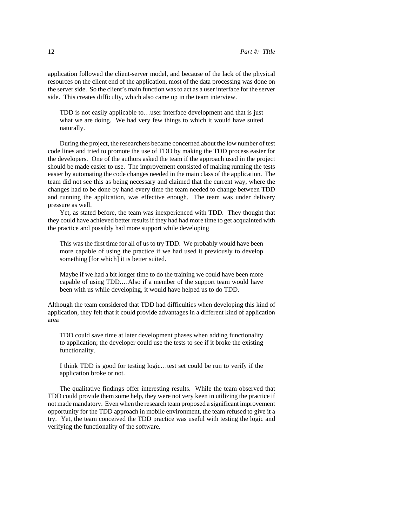application followed the client-server model, and because of the lack of the physical resources on the client end of the application, most of the data processing was done on the server side. So the client's main function was to act as a user interface for the server side. This creates difficulty, which also came up in the team interview.

TDD is not easily applicable to…user interface development and that is just what we are doing. We had very few things to which it would have suited naturally.

During the project, the researchers became concerned about the low number of test code lines and tried to promote the use of TDD by making the TDD process easier for the developers. One of the authors asked the team if the approach used in the project should be made easier to use. The improvement consisted of making running the tests easier by automating the code changes needed in the main class of the application. The team did not see this as being necessary and claimed that the current way, where the changes had to be done by hand every time the team needed to change between TDD and running the application, was effective enough. The team was under delivery pressure as well.

Yet, as stated before, the team was inexperienced with TDD. They thought that they could have achieved better results if they had had more time to get acquainted with the practice and possibly had more support while developing

This was the first time for all of us to try TDD. We probably would have been more capable of using the practice if we had used it previously to develop something [for which] it is better suited.

Maybe if we had a bit longer time to do the training we could have been more capable of using TDD.…Also if a member of the support team would have been with us while developing, it would have helped us to do TDD.

Although the team considered that TDD had difficulties when developing this kind of application, they felt that it could provide advantages in a different kind of application area

TDD could save time at later development phases when adding functionality to application; the developer could use the tests to see if it broke the existing functionality.

I think TDD is good for testing logic…test set could be run to verify if the application broke or not.

The qualitative findings offer interesting results. While the team observed that TDD could provide them some help, they were not very keen in utilizing the practice if not made mandatory. Even when the research team proposed a significant improvement opportunity for the TDD approach in mobile environment, the team refused to give it a try. Yet, the team conceived the TDD practice was useful with testing the logic and verifying the functionality of the software.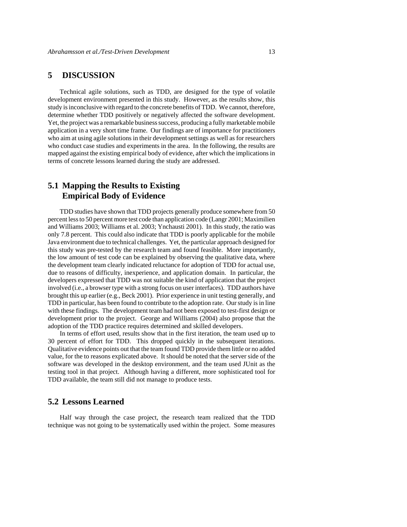# **5 DISCUSSION**

Technical agile solutions, such as TDD, are designed for the type of volatile development environment presented in this study. However, as the results show, this study is inconclusive with regard to the concrete benefits of TDD. We cannot, therefore, determine whether TDD positively or negatively affected the software development. Yet, the project was a remarkable business success, producing a fully marketable mobile application in a very short time frame. Our findings are of importance for practitioners who aim at using agile solutions in their development settings as well as for researchers who conduct case studies and experiments in the area. In the following, the results are mapped against the existing empirical body of evidence, after which the implications in terms of concrete lessons learned during the study are addressed.

# **5.1 Mapping the Results to Existing Empirical Body of Evidence**

TDD studies have shown that TDD projects generally produce somewhere from 50 percent less to 50 percent more test code than application code (Langr 2001; Maximilien and Williams 2003; Williams et al. 2003; Ynchausti 2001). In this study, the ratio was only 7.8 percent. This could also indicate that TDD is poorly applicable for the mobile Java environment due to technical challenges. Yet, the particular approach designed for this study was pre-tested by the research team and found feasible. More importantly, the low amount of test code can be explained by observing the qualitative data, where the development team clearly indicated reluctance for adoption of TDD for actual use, due to reasons of difficulty, inexperience, and application domain. In particular, the developers expressed that TDD was not suitable the kind of application that the project involved (i.e., a browser type with a strong focus on user interfaces). TDD authors have brought this up earlier (e.g., Beck 2001). Prior experience in unit testing generally, and TDD in particular, has been found to contribute to the adoption rate. Our study is in line with these findings. The development team had not been exposed to test-first design or development prior to the project. George and Williams (2004) also propose that the adoption of the TDD practice requires determined and skilled developers.

In terms of effort used, results show that in the first iteration, the team used up to 30 percent of effort for TDD. This dropped quickly in the subsequent iterations. Qualitative evidence points out that the team found TDD provide them little or no added value, for the to reasons explicated above. It should be noted that the server side of the software was developed in the desktop environment, and the team used JUnit as the testing tool in that project. Although having a different, more sophisticated tool for TDD available, the team still did not manage to produce tests.

### **5.2 Lessons Learned**

Half way through the case project, the research team realized that the TDD technique was not going to be systematically used within the project. Some measures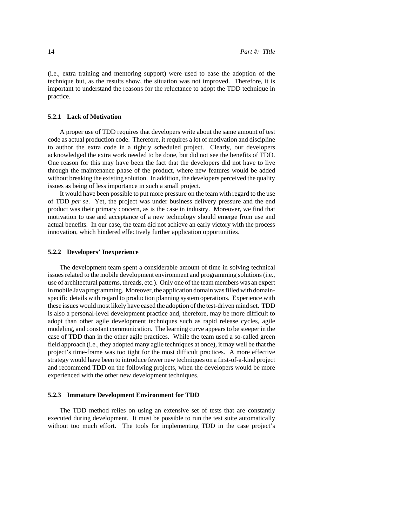(i.e., extra training and mentoring support) were used to ease the adoption of the technique but, as the results show, the situation was not improved. Therefore, it is important to understand the reasons for the reluctance to adopt the TDD technique in practice.

#### **5.2.1 Lack of Motivation**

A proper use of TDD requires that developers write about the same amount of test code as actual production code. Therefore, it requires a lot of motivation and discipline to author the extra code in a tightly scheduled project. Clearly, our developers acknowledged the extra work needed to be done, but did not see the benefits of TDD. One reason for this may have been the fact that the developers did not have to live through the maintenance phase of the product, where new features would be added without breaking the existing solution. In addition, the developers perceived the quality issues as being of less importance in such a small project.

It would have been possible to put more pressure on the team with regard to the use of TDD *per se*. Yet, the project was under business delivery pressure and the end product was their primary concern, as is the case in industry. Moreover, we find that motivation to use and acceptance of a new technology should emerge from use and actual benefits. In our case, the team did not achieve an early victory with the process innovation, which hindered effectively further application opportunities.

#### **5.2.2 Developers' Inexperience**

The development team spent a considerable amount of time in solving technical issues related to the mobile development environment and programming solutions (i.e., use of architectural patterns, threads, etc.). Only one of the team members was an expert in mobile Java programming. Moreover, the application domain was filled with domainspecific details with regard to production planning system operations. Experience with these issues would most likely have eased the adoption of the test-driven mind set. TDD is also a personal-level development practice and, therefore, may be more difficult to adopt than other agile development techniques such as rapid release cycles, agile modeling, and constant communication. The learning curve appears to be steeper in the case of TDD than in the other agile practices. While the team used a so-called green field approach (i.e., they adopted many agile techniques at once), it may well be that the project's time-frame was too tight for the most difficult practices. A more effective strategy would have been to introduce fewer new techniques on a first-of-a-kind project and recommend TDD on the following projects, when the developers would be more experienced with the other new development techniques.

#### **5.2.3 Immature Development Environment for TDD**

The TDD method relies on using an extensive set of tests that are constantly executed during development. It must be possible to run the test suite automatically without too much effort. The tools for implementing TDD in the case project's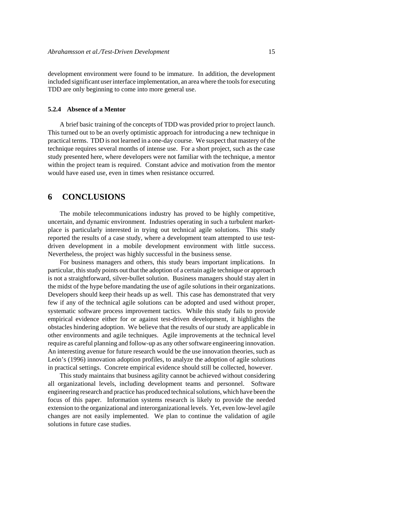development environment were found to be immature. In addition, the development included significant user interface implementation, an area where the tools for executing TDD are only beginning to come into more general use.

#### **5.2.4 Absence of a Mentor**

A brief basic training of the concepts of TDD was provided prior to project launch. This turned out to be an overly optimistic approach for introducing a new technique in practical terms. TDD is not learned in a one-day course. We suspect that mastery of the technique requires several months of intense use. For a short project, such as the case study presented here, where developers were not familiar with the technique, a mentor within the project team is required. Constant advice and motivation from the mentor would have eased use, even in times when resistance occurred.

# **6 CONCLUSIONS**

The mobile telecommunications industry has proved to be highly competitive, uncertain, and dynamic environment. Industries operating in such a turbulent marketplace is particularly interested in trying out technical agile solutions. This study reported the results of a case study, where a development team attempted to use testdriven development in a mobile development environment with little success. Nevertheless, the project was highly successful in the business sense.

For business managers and others, this study bears important implications. In particular, this study points out that the adoption of a certain agile technique or approach is not a straightforward, silver-bullet solution. Business managers should stay alert in the midst of the hype before mandating the use of agile solutions in their organizations. Developers should keep their heads up as well. This case has demonstrated that very few if any of the technical agile solutions can be adopted and used without proper, systematic software process improvement tactics. While this study fails to provide empirical evidence either for or against test-driven development, it highlights the obstacles hindering adoption. We believe that the results of our study are applicable in other environments and agile techniques. Agile improvements at the technical level require as careful planning and follow-up as any other software engineering innovation. An interesting avenue for future research would be the use innovation theories, such as León's (1996) innovation adoption profiles, to analyze the adoption of agile solutions in practical settings. Concrete empirical evidence should still be collected, however.

This study maintains that business agility cannot be achieved without considering all organizational levels, including development teams and personnel. Software engineering research and practice has produced technical solutions, which have been the focus of this paper. Information systems research is likely to provide the needed extension to the organizational and interorganizational levels. Yet, even low-level agile changes are not easily implemented. We plan to continue the validation of agile solutions in future case studies.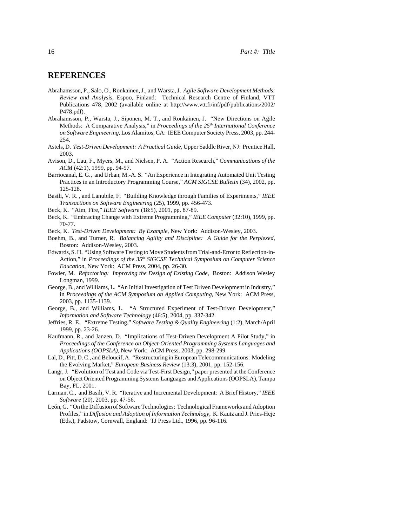## **REFERENCES**

- Abrahamsson, P., Salo, O., Ronkainen, J., and Warsta, J. *Agile Software Development Methods: Review and Analysis*, Espoo, Finland: Technical Research Centre of Finland, VTT Publications 478, 2002 (available online at http://www.vtt.fi/inf/pdf/publications/2002/ P478.pdf).
- Abrahamsson, P., Warsta, J., Siponen, M. T., and Ronkainen, J. "New Directions on Agile Methods: A Comparative Analysis," in *Proceedings of the 25th International Conference on Software Engineering*, Los Alamitos, CA: IEEE Computer Society Press, 2003, pp. 244- 254.
- Astels, D. *Test-Driven Development: A Practical Guide,* Upper Saddle River, NJ: Prentice Hall, 2003.
- Avison, D., Lau, F., Myers, M., and Nielsen, P. A. "Action Research," *Communications of the ACM* (42:1), 1999, pp. 94-97.
- Barriocanal, E. G., and Urban, M.-A. S. "An Experience in Integrating Automated Unit Testing Practices in an Introductory Programming Course," *ACM SIGCSE Bulletin* (34), 2002, pp. 125-128.
- Basili, V. R. , and Lanubile, F. "Building Knowledge through Families of Experiments," *IEEE Transactions on Software Engineering* (25), 1999, pp. 456-473.
- Beck, K. "Aim, Fire," *IEEE Software* (18:5), 2001, pp. 87-89.
- Beck, K. "Embracing Change with Extreme Programming," *IEEE Computer* (32:10), 1999, pp. 70-77.
- Beck, K. *Test-Driven Development: By Example*, New York: Addison-Wesley, 2003.
- Boehm, B., and Turner, R. *Balancing Agility and Discipline: A Guide for the Perplexed,* Boston: Addison-Wesley, 2003.
- Edwards, S. H. "Using Software Testing to Move Students from Trial-and-Error to Reflection-in-Action," in *Proceedings of the 35th SIGCSE Technical Symposium on Computer Science Education*, New York: ACM Press, 2004, pp. 26-30.
- Fowler, M. *Refactoring: Improving the Design of Existing Code*, Boston: Addison Wesley Longman, 1999.
- George, B., and Williams, L. "An Initial Investigation of Test Driven Development in Industry," in *Proceedings of the ACM Symposium on Applied Computing*, New York: ACM Press, 2003, pp. 1135-1139.
- George, B., and Williams, L. "A Structured Experiment of Test-Driven Development," *Information and Software Technology* (46:5), 2004, pp. 337-342.
- Jeffries, R. E. "Extreme Testing," *Software Testing & Quality Engineering* (1:2), March/April 1999, pp. 23-26.
- Kaufmann, R., and Janzen, D. "Implications of Test-Driven Development A Pilot Study," in *Proceedings of the Conference on Object-Oriented Programming Systems Languages and Applications (OOPSLA)*, New York: ACM Press, 2003, pp. 298-299.
- Lal, D., Pitt, D. C., and Beloucif, A. "Restructuring in European Telecommunications: Modeling the Evolving Market," *European Business Review* (13:3), 2001, pp. 152-156.
- Langr, J. "Evolution of Test and Code via Test-First Design," paper presented at the Conference on Object Oriented Programming Systems Languages and Applications (OOPSLA), Tampa Bay, FL, 2001.
- Larman, C., and Basili, V. R. "Iterative and Incremental Development: A Brief History," *IEEE Software* (20), 2003, pp. 47-56.
- León, G. "On the Diffusion of Software Technologies: Technological Frameworks and Adoption Profiles," in *Diffusion and Adoption of Information Technology*, K. Kautz and J. Pries-Heje (Eds.), Padstow, Cornwall, England: TJ Press Ltd., 1996, pp. 96-116.